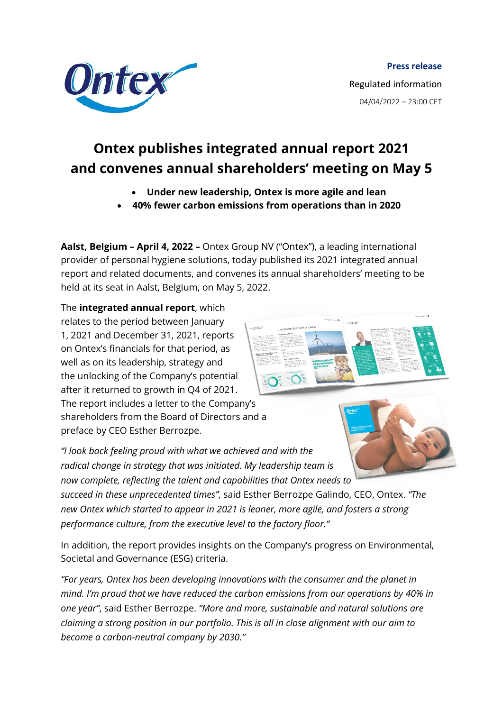

## **Ontex publishes integrated annual report 2021 and convenes annual shareholders' meeting on May 5**

- **Under new leadership, Ontex is more agile and lean**
- **40% fewer carbon emissions from operations than in 2020**

**Aalst, Belgium – April 4, 2022 –** Ontex Group NV ("Ontex"), a leading international provider of personal hygiene solutions, today published its 2021 integrated annual report and related documents, a[nd convenes its annual shareholders' meeting to be](https://ontex.com)  held at its seat in Aalst, Belgium, on May 5, 2022.

The **integrated annual report**, which relates to the period between January 1, 2021 and December 31, 2021, reports on Ontex's financials for that period, as well as on its leadership, strategy and the unlocking of the Company's potential after it returned to growth in Q4 of 2021. The report includes a letter to the Company's shareholders from the Board of Directors and a preface by CEO Esther Berrozpe.



*"I look back feeling proud with what we achieved and with the radical change in strategy that was initiated. My leadership team is now complete, reflecting the talent and capabilities that Ontex needs to* 

*succeed in these unprecedented times"*, said Esther Berrozpe Galindo, CEO, Ontex. *"The new Ontex which started to appear in 2021 is leaner, more agile, and fosters a strong performance culture, from the executive level to the factory floor."*

In addition, the report provides insights on the Company's progress on Environmental, Societal and Governance (ESG) criteria.

*"For years, Ontex has been developing innovations with the consumer and the planet in mind. I'm proud that we have reduced the carbon emissions from our operations by 40% in one year"*, said Esther Berrozpe. *"More and more, sustainable and natural solutions are claiming a strong position in our portfolio. This is all in close alignment with our aim to become a carbon-neutral company by 2030."*